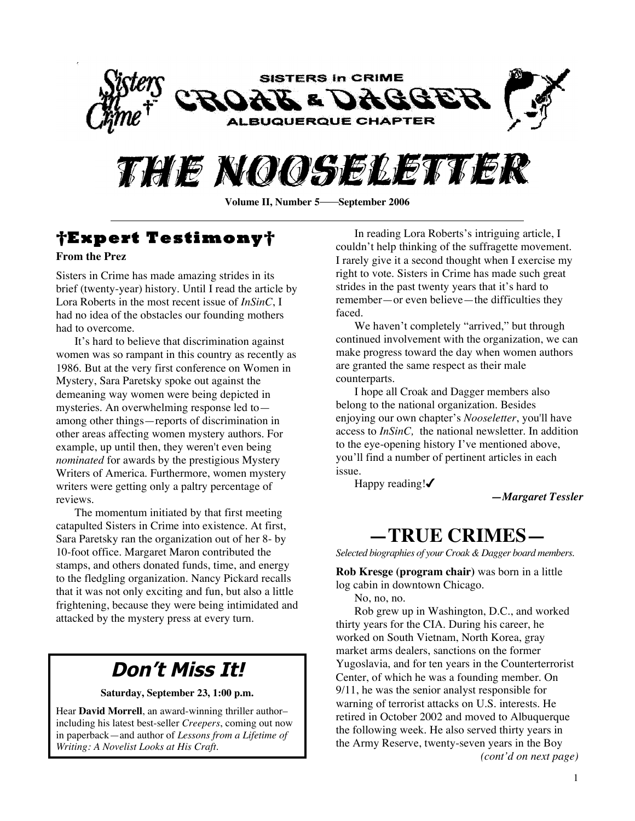



### **†Expert Testimony†**

#### **From the Prez**

Sisters in Crime has made amazing strides in its brief (twenty-year) history. Until I read the article by Lora Roberts in the most recent issue of *InSinC*, I had no idea of the obstacles our founding mothers had to overcome.

It's hard to believe that discrimination against women was so rampant in this country as recently as 1986. But at the very first conference on Women in Mystery, Sara Paretsky spoke out against the demeaning way women were being depicted in mysteries. An overwhelming response led to among other things—reports of discrimination in other areas affecting women mystery authors. For example, up until then, they weren't even being *nominated* for awards by the prestigious Mystery Writers of America. Furthermore, women mystery writers were getting only a paltry percentage of reviews.

The momentum initiated by that first meeting catapulted Sisters in Crime into existence. At first, Sara Paretsky ran the organization out of her 8- by 10-foot office. Margaret Maron contributed the stamps, and others donated funds, time, and energy to the fledgling organization. Nancy Pickard recalls that it was not only exciting and fun, but also a little frightening, because they were being intimidated and attacked by the mystery press at every turn.

### **Don't Miss It!**

**Saturday, September 23, 1:00 p.m.**

Hear **David Morrell**, an award-winning thriller author– including his latest best-seller *Creepers*, coming out now in paperback—and author of *Lessons from a Lifetime of Writing: A Novelist Looks at His Craft*.

In reading Lora Roberts's intriguing article, I couldn't help thinking of the suffragette movement. I rarely give it a second thought when I exercise my right to vote. Sisters in Crime has made such great strides in the past twenty years that it's hard to remember—or even believe—the difficulties they faced.

We haven't completely "arrived," but through continued involvement with the organization, we can make progress toward the day when women authors are granted the same respect as their male counterparts.

I hope all Croak and Dagger members also belong to the national organization. Besides enjoying our own chapter's *Nooseletter*, you'll have access to *InSinC,* the national newsletter. In addition to the eye-opening history I've mentioned above, you'll find a number of pertinent articles in each issue.

Happy reading! $\checkmark$ 

*—Margaret Tessler*

### **—TRUE CRIMES—**

*Selected biographies of your Croak & Dagger board members.*

**Rob Kresge (program chair)** was born in a little log cabin in downtown Chicago.

No, no, no.

Rob grew up in Washington, D.C., and worked thirty years for the CIA. During his career, he worked on South Vietnam, North Korea, gray market arms dealers, sanctions on the former Yugoslavia, and for ten years in the Counterterrorist Center, of which he was a founding member. On 9/11, he was the senior analyst responsible for warning of terrorist attacks on U.S. interests. He retired in October 2002 and moved to Albuquerque the following week. He also served thirty years in the Army Reserve, twenty-seven years in the Boy *(cont'd on next page)*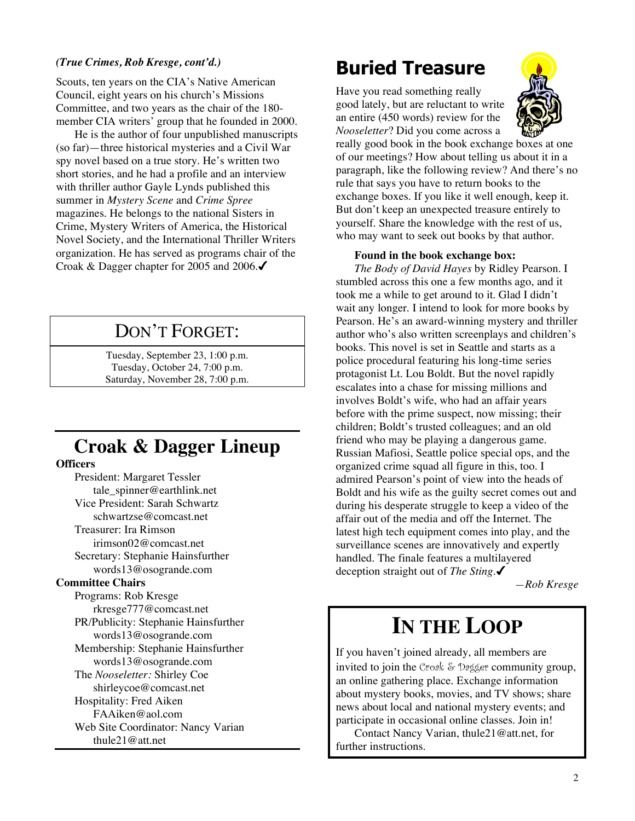#### *(True Crimes, Rob Kresge, cont'd.)*

Scouts, ten years on the CIA's Native American Council, eight years on his church's Missions Committee, and two years as the chair of the 180 member CIA writers' group that he founded in 2000.

He is the author of four unpublished manuscripts (so far)—three historical mysteries and a Civil War spy novel based on a true story. He's written two short stories, and he had a profile and an interview with thriller author Gayle Lynds published this summer in *Mystery Scene* and *Crime Spree* magazines. He belongs to the national Sisters in Crime, Mystery Writers of America, the Historical Novel Society, and the International Thriller Writers organization. He has served as programs chair of the Croak & Dagger chapter for 2005 and 2006.

### DON'T FORGET:

Tuesday, September 23, 1:00 p.m. Tuesday, October 24, 7:00 p.m. Saturday, November 28, 7:00 p.m.

### **Croak & Dagger Lineup**

#### **Officers**

President: Margaret Tessler tale\_spinner@earthlink.net Vice President: Sarah Schwartz schwartzse@comcast.net Treasurer: Ira Rimson irimson02@comcast.net Secretary: Stephanie Hainsfurther words13@osogrande.com **Committee Chairs** Programs: Rob Kresge rkresge777@comcast.net PR/Publicity: Stephanie Hainsfurther words13@osogrande.com Membership: Stephanie Hainsfurther words13@osogrande.com The *Nooseletter:* Shirley Coe shirleycoe@comcast.net Hospitality: Fred Aiken FAAiken@aol.com Web Site Coordinator: Nancy Varian thule21@att.net

### **Buried Treasure**

Have you read something really good lately, but are reluctant to write an entire (450 words) review for the *Nooseletter*? Did you come across a



really good book in the book exchange boxes at one of our meetings? How about telling us about it in a paragraph, like the following review? And there's no rule that says you have to return books to the exchange boxes. If you like it well enough, keep it. But don't keep an unexpected treasure entirely to yourself. Share the knowledge with the rest of us, who may want to seek out books by that author.

#### **Found in the book exchange box:**

*The Body of David Hayes* by Ridley Pearson. I stumbled across this one a few months ago, and it took me a while to get around to it. Glad I didn't wait any longer. I intend to look for more books by Pearson. He's an award-winning mystery and thriller author who's also written screenplays and children's books. This novel is set in Seattle and starts as a police procedural featuring his long-time series protagonist Lt. Lou Boldt. But the novel rapidly escalates into a chase for missing millions and involves Boldt's wife, who had an affair years before with the prime suspect, now missing; their children; Boldt's trusted colleagues; and an old friend who may be playing a dangerous game. Russian Mafiosi, Seattle police special ops, and the organized crime squad all figure in this, too. I admired Pearson's point of view into the heads of Boldt and his wife as the guilty secret comes out and during his desperate struggle to keep a video of the affair out of the media and off the Internet. The latest high tech equipment comes into play, and the surveillance scenes are innovatively and expertly handled. The finale features a multilayered deception straight out of *The Sting*.

*—Rob Kresge*

### **IN THE LOOP**

If you haven't joined already, all members are invited to join the Croak & Dagger community group, an online gathering place. Exchange information about mystery books, movies, and TV shows; share news about local and national mystery events; and participate in occasional online classes. Join in!

Contact Nancy Varian, thule21@att.net, for further instructions.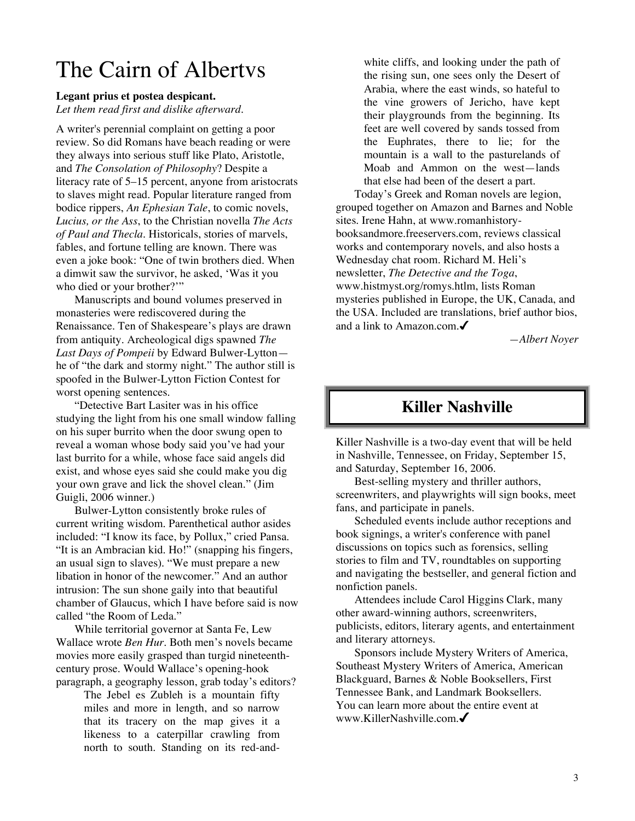### The Cairn of Albertvs

#### **Legant prius et postea despicant.**

*Let them read first and dislike afterward.*

A writer's perennial complaint on getting a poor review. So did Romans have beach reading or were they always into serious stuff like Plato, Aristotle, and *The Consolation of Philosophy*? Despite a literacy rate of 5–15 percent, anyone from aristocrats to slaves might read. Popular literature ranged from bodice rippers, *An Ephesian Tale*, to comic novels, *Lucius, or the Ass*, to the Christian novella *The Acts of Paul and Thecla*. Historicals, stories of marvels, fables, and fortune telling are known. There was even a joke book: "One of twin brothers died. When a dimwit saw the survivor, he asked, 'Was it you who died or your brother?""

Manuscripts and bound volumes preserved in monasteries were rediscovered during the Renaissance. Ten of Shakespeare's plays are drawn from antiquity. Archeological digs spawned *The Last Days of Pompeii* by Edward Bulwer-Lytton he of "the dark and stormy night." The author still is spoofed in the Bulwer-Lytton Fiction Contest for worst opening sentences.

"Detective Bart Lasiter was in his office studying the light from his one small window falling on his super burrito when the door swung open to reveal a woman whose body said you've had your last burrito for a while, whose face said angels did exist, and whose eyes said she could make you dig your own grave and lick the shovel clean." (Jim Guigli, 2006 winner.)

Bulwer-Lytton consistently broke rules of current writing wisdom. Parenthetical author asides included: "I know its face, by Pollux," cried Pansa. "It is an Ambracian kid. Ho!" (snapping his fingers, an usual sign to slaves). "We must prepare a new libation in honor of the newcomer." And an author intrusion: The sun shone gaily into that beautiful chamber of Glaucus, which I have before said is now called "the Room of Leda."

While territorial governor at Santa Fe, Lew Wallace wrote *Ben Hur*. Both men's novels became movies more easily grasped than turgid nineteenthcentury prose. Would Wallace's opening-hook paragraph, a geography lesson, grab today's editors?

> The Jebel es Zubleh is a mountain fifty miles and more in length, and so narrow that its tracery on the map gives it a likeness to a caterpillar crawling from north to south. Standing on its red-and

white cliffs, and looking under the path of the rising sun, one sees only the Desert of Arabia, where the east winds, so hateful to the vine growers of Jericho, have kept their playgrounds from the beginning. Its feet are well covered by sands tossed from the Euphrates, there to lie; for the mountain is a wall to the pasturelands of Moab and Ammon on the west—lands that else had been of the desert a part.

Today's Greek and Roman novels are legion, grouped together on Amazon and Barnes and Noble sites. Irene Hahn, at www.romanhistorybooksandmore.freeservers.com, reviews classical works and contemporary novels, and also hosts a Wednesday chat room. Richard M. Heli's newsletter, *The Detective and the Toga*, www.histmyst.org/romys.htlm, lists Roman mysteries published in Europe, the UK, Canada, and the USA. Included are translations, brief author bios, and a link to Amazon.com.

*—Albert Noyer*

### **Killer Nashville**

Killer Nashville is a two-day event that will be held in Nashville, Tennessee, on Friday, September 15, and Saturday, September 16, 2006.

Best-selling mystery and thriller authors, screenwriters, and playwrights will sign books, meet fans, and participate in panels.

Scheduled events include author receptions and book signings, a writer's conference with panel discussions on topics such as forensics, selling stories to film and TV, roundtables on supporting and navigating the bestseller, and general fiction and nonfiction panels.

Attendees include Carol Higgins Clark, many other award-winning authors, screenwriters, publicists, editors, literary agents, and entertainment and literary attorneys.

Sponsors include Mystery Writers of America, Southeast Mystery Writers of America, American Blackguard, Barnes & Noble Booksellers, First Tennessee Bank, and Landmark Booksellers. You can learn more about the entire event at www.KillerNashville.com.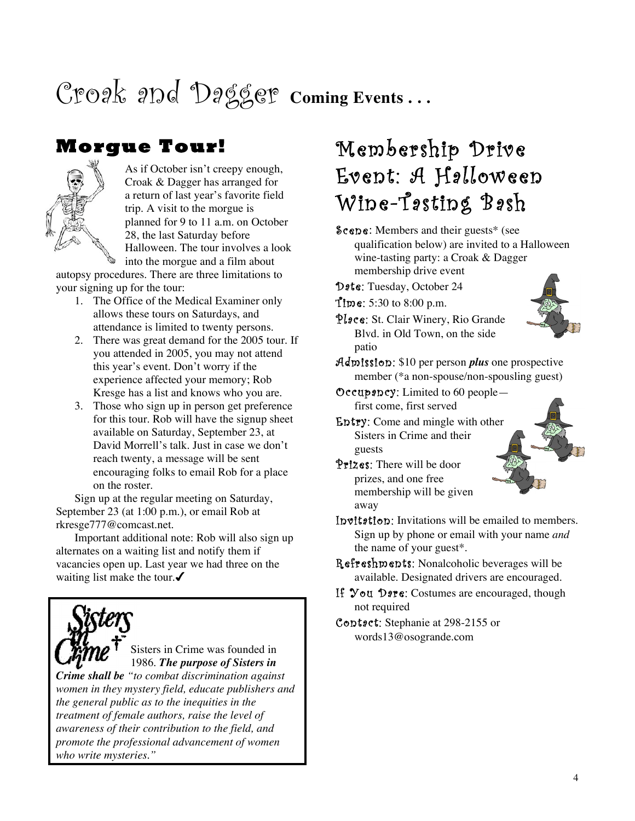# Croak and Dagger **Coming Events . . .**

### **Morgue Tour!**



As if October isn't creepy enough, Croak & Dagger has arranged for a return of last year's favorite field trip. A visit to the morgue is planned for 9 to 11 a.m. on October 28, the last Saturday before Halloween. The tour involves a look into the morgue and a film about

autopsy procedures. There are three limitations to your signing up for the tour:

- 1. The Office of the Medical Examiner only allows these tours on Saturdays, and attendance is limited to twenty persons.
- 2. There was great demand for the 2005 tour. If you attended in 2005, you may not attend this year's event. Don't worry if the experience affected your memory; Rob Kresge has a list and knows who you are.
- 3. Those who sign up in person get preference for this tour. Rob will have the signup sheet available on Saturday, September 23, at David Morrell's talk. Just in case we don't reach twenty, a message will be sent encouraging folks to email Rob for a place on the roster.

Sign up at the regular meeting on Saturday, September 23 (at 1:00 p.m.), or email Rob at rkresge777@comcast.net.

Important additional note: Rob will also sign up alternates on a waiting list and notify them if vacancies open up. Last year we had three on the waiting list make the tour. $\checkmark$ 



Sisters in Crime was founded in 1986. *The purpose of Sisters in*

*Crime shall be "to combat discrimination against women in they mystery field, educate publishers and the general public as to the inequities in the treatment of female authors, raise the level of awareness of their contribution to the field, and promote the professional advancement of women who write mysteries."*

## Membership Drive Event: A Halloween Wine-Tasting Bash

Scene: Members and their guests\* (see qualification below) are invited to a Halloween wine-tasting party: a Croak & Dagger membership drive event

Date: Tuesday, October 24

- Time: 5:30 to 8:00 p.m.
- Place: St. Clair Winery, Rio Grande Blvd. in Old Town, on the side patio



- Admission: \$10 per person *plus* one prospective member (\*a non-spouse/non-spousling guest)
- Occupancy: Limited to 60 people first come, first served
- Entry: Come and mingle with other Sisters in Crime and their guests
- Prizes: There will be door prizes, and one free membership will be given away

Invitation: Invitations will be emailed to members. Sign up by phone or email with your name *and* the name of your guest\*.

- Refreshments: Nonalcoholic beverages will be available. Designated drivers are encouraged.
- If You Dare: Costumes are encouraged, though not required
- Contact: Stephanie at 298-2155 or words13@osogrande.com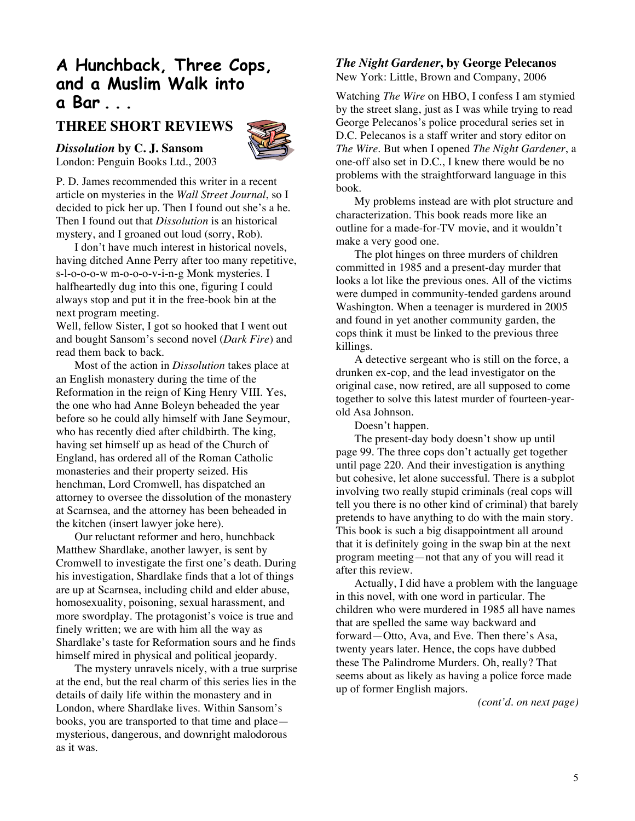### **A Hunchback, Three Cops, and a Muslim Walk into a Bar . . .**

#### **THREE SHORT REVIEWS**



*Dissolution* **by C. J. Sansom** London: Penguin Books Ltd., 2003

P. D. James recommended this writer in a recent article on mysteries in the *Wall Street Journal*, so I decided to pick her up. Then I found out she's a he. Then I found out that *Dissolution* is an historical mystery, and I groaned out loud (sorry, Rob).

I don't have much interest in historical novels, having ditched Anne Perry after too many repetitive, s-l-o-o-o-w m-o-o-o-v-i-n-g Monk mysteries. I halfheartedly dug into this one, figuring I could always stop and put it in the free-book bin at the next program meeting.

Well, fellow Sister, I got so hooked that I went out and bought Sansom's second novel (*Dark Fire*) and read them back to back.

Most of the action in *Dissolution* takes place at an English monastery during the time of the Reformation in the reign of King Henry VIII. Yes, the one who had Anne Boleyn beheaded the year before so he could ally himself with Jane Seymour, who has recently died after childbirth. The king, having set himself up as head of the Church of England, has ordered all of the Roman Catholic monasteries and their property seized. His henchman, Lord Cromwell, has dispatched an attorney to oversee the dissolution of the monastery at Scarnsea, and the attorney has been beheaded in the kitchen (insert lawyer joke here).

Our reluctant reformer and hero, hunchback Matthew Shardlake, another lawyer, is sent by Cromwell to investigate the first one's death. During his investigation, Shardlake finds that a lot of things are up at Scarnsea, including child and elder abuse, homosexuality, poisoning, sexual harassment, and more swordplay. The protagonist's voice is true and finely written; we are with him all the way as Shardlake's taste for Reformation sours and he finds himself mired in physical and political jeopardy.

The mystery unravels nicely, with a true surprise at the end, but the real charm of this series lies in the details of daily life within the monastery and in London, where Shardlake lives. Within Sansom's books, you are transported to that time and place mysterious, dangerous, and downright malodorous as it was.

#### *The Night Gardener***, by George Pelecanos**

New York: Little, Brown and Company, 2006

Watching *The Wire* on HBO, I confess I am stymied by the street slang, just as I was while trying to read George Pelecanos's police procedural series set in D.C. Pelecanos is a staff writer and story editor on *The Wire*. But when I opened *The Night Gardener*, a one-off also set in D.C., I knew there would be no problems with the straightforward language in this book.

My problems instead are with plot structure and characterization. This book reads more like an outline for a made-for-TV movie, and it wouldn't make a very good one.

The plot hinges on three murders of children committed in 1985 and a present-day murder that looks a lot like the previous ones. All of the victims were dumped in community-tended gardens around Washington. When a teenager is murdered in 2005 and found in yet another community garden, the cops think it must be linked to the previous three killings.

A detective sergeant who is still on the force, a drunken ex-cop, and the lead investigator on the original case, now retired, are all supposed to come together to solve this latest murder of fourteen-yearold Asa Johnson.

Doesn't happen.

The present-day body doesn't show up until page 99. The three cops don't actually get together until page 220. And their investigation is anything but cohesive, let alone successful. There is a subplot involving two really stupid criminals (real cops will tell you there is no other kind of criminal) that barely pretends to have anything to do with the main story. This book is such a big disappointment all around that it is definitely going in the swap bin at the next program meeting—not that any of you will read it after this review.

Actually, I did have a problem with the language in this novel, with one word in particular. The children who were murdered in 1985 all have names that are spelled the same way backward and forward—Otto, Ava, and Eve. Then there's Asa, twenty years later. Hence, the cops have dubbed these The Palindrome Murders. Oh, really? That seems about as likely as having a police force made up of former English majors.

*(cont'd. on next page)*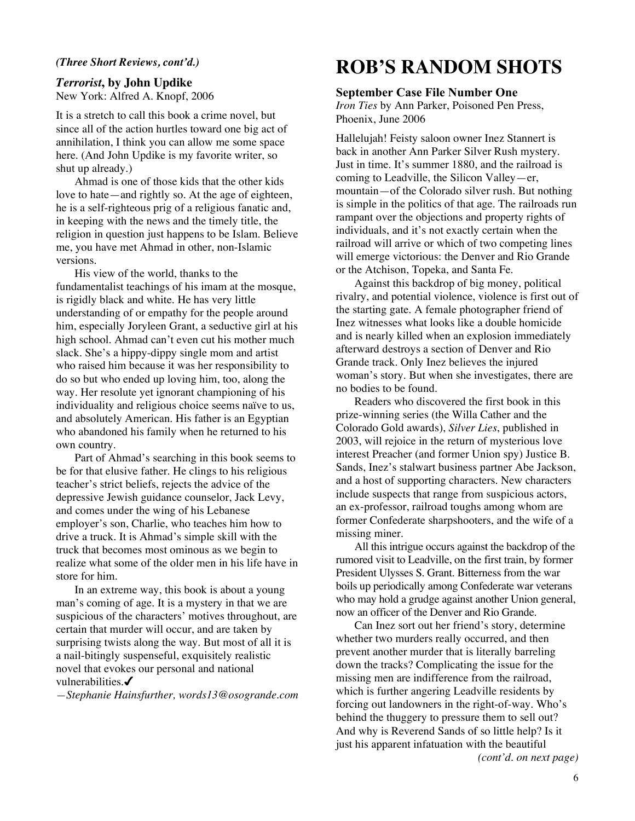#### *(Three Short Reviews, cont'd.)*

#### *Terrorist***, by John Updike** New York: Alfred A. Knopf, 2006

It is a stretch to call this book a crime novel, but since all of the action hurtles toward one big act of annihilation, I think you can allow me some space here. (And John Updike is my favorite writer, so shut up already.)

Ahmad is one of those kids that the other kids love to hate—and rightly so. At the age of eighteen, he is a self-righteous prig of a religious fanatic and, in keeping with the news and the timely title, the religion in question just happens to be Islam. Believe me, you have met Ahmad in other, non-Islamic versions.

His view of the world, thanks to the fundamentalist teachings of his imam at the mosque, is rigidly black and white. He has very little understanding of or empathy for the people around him, especially Joryleen Grant, a seductive girl at his high school. Ahmad can't even cut his mother much slack. She's a hippy-dippy single mom and artist who raised him because it was her responsibility to do so but who ended up loving him, too, along the way. Her resolute yet ignorant championing of his individuality and religious choice seems naïve to us, and absolutely American. His father is an Egyptian who abandoned his family when he returned to his own country.

Part of Ahmad's searching in this book seems to be for that elusive father. He clings to his religious teacher's strict beliefs, rejects the advice of the depressive Jewish guidance counselor, Jack Levy, and comes under the wing of his Lebanese employer's son, Charlie, who teaches him how to drive a truck. It is Ahmad's simple skill with the truck that becomes most ominous as we begin to realize what some of the older men in his life have in store for him.

In an extreme way, this book is about a young man's coming of age. It is a mystery in that we are suspicious of the characters' motives throughout, are certain that murder will occur, and are taken by surprising twists along the way. But most of all it is a nail-bitingly suspenseful, exquisitely realistic novel that evokes our personal and national vulnerabilities. $\checkmark$ 

*—Stephanie Hainsfurther, words13@osogrande.com*

### **ROB'S RANDOM SHOTS**

#### **September Case File Number One**

*Iron Ties* by Ann Parker, Poisoned Pen Press, Phoenix, June 2006

Hallelujah! Feisty saloon owner Inez Stannert is back in another Ann Parker Silver Rush mystery. Just in time. It's summer 1880, and the railroad is coming to Leadville, the Silicon Valley—er, mountain—of the Colorado silver rush. But nothing is simple in the politics of that age. The railroads run rampant over the objections and property rights of individuals, and it's not exactly certain when the railroad will arrive or which of two competing lines will emerge victorious: the Denver and Rio Grande or the Atchison, Topeka, and Santa Fe.

Against this backdrop of big money, political rivalry, and potential violence, violence is first out of the starting gate. A female photographer friend of Inez witnesses what looks like a double homicide and is nearly killed when an explosion immediately afterward destroys a section of Denver and Rio Grande track. Only Inez believes the injured woman's story. But when she investigates, there are no bodies to be found.

Readers who discovered the first book in this prize-winning series (the Willa Cather and the Colorado Gold awards), *Silver Lies*, published in 2003, will rejoice in the return of mysterious love interest Preacher (and former Union spy) Justice B. Sands, Inez's stalwart business partner Abe Jackson, and a host of supporting characters. New characters include suspects that range from suspicious actors, an ex-professor, railroad toughs among whom are former Confederate sharpshooters, and the wife of a missing miner.

All this intrigue occurs against the backdrop of the rumored visit to Leadville, on the first train, by former President Ulysses S. Grant. Bitterness from the war boils up periodically among Confederate war veterans who may hold a grudge against another Union general, now an officer of the Denver and Rio Grande.

Can Inez sort out her friend's story, determine whether two murders really occurred, and then prevent another murder that is literally barreling down the tracks? Complicating the issue for the missing men are indifference from the railroad, which is further angering Leadville residents by forcing out landowners in the right-of-way. Who's behind the thuggery to pressure them to sell out? And why is Reverend Sands of so little help? Is it just his apparent infatuation with the beautiful *(cont'd. on next page)*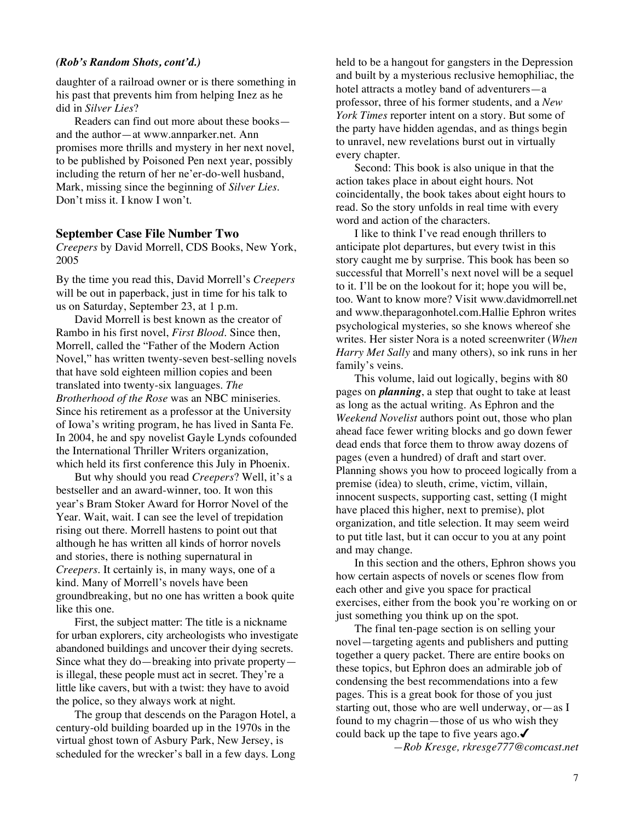#### *(Rob's Random Shots, cont'd.)*

daughter of a railroad owner or is there something in his past that prevents him from helping Inez as he did in *Silver Lies*?

Readers can find out more about these books and the author—at www.annparker.net. Ann promises more thrills and mystery in her next novel, to be published by Poisoned Pen next year, possibly including the return of her ne'er-do-well husband, Mark, missing since the beginning of *Silver Lies*. Don't miss it. I know I won't.

#### **September Case File Number Two**

*Creepers* by David Morrell, CDS Books, New York, 2005

By the time you read this, David Morrell's *Creepers* will be out in paperback, just in time for his talk to us on Saturday, September 23, at 1 p.m.

David Morrell is best known as the creator of Rambo in his first novel, *First Blood*. Since then, Morrell, called the "Father of the Modern Action Novel," has written twenty-seven best-selling novels that have sold eighteen million copies and been translated into twenty-six languages. *The Brotherhood of the Rose* was an NBC miniseries. Since his retirement as a professor at the University of Iowa's writing program, he has lived in Santa Fe. In 2004, he and spy novelist Gayle Lynds cofounded the International Thriller Writers organization, which held its first conference this July in Phoenix.

But why should you read *Creepers*? Well, it's a bestseller and an award-winner, too. It won this year's Bram Stoker Award for Horror Novel of the Year. Wait, wait. I can see the level of trepidation rising out there. Morrell hastens to point out that although he has written all kinds of horror novels and stories, there is nothing supernatural in *Creepers*. It certainly is, in many ways, one of a kind. Many of Morrell's novels have been groundbreaking, but no one has written a book quite like this one.

First, the subject matter: The title is a nickname for urban explorers, city archeologists who investigate abandoned buildings and uncover their dying secrets. Since what they do—breaking into private property is illegal, these people must act in secret. They're a little like cavers, but with a twist: they have to avoid the police, so they always work at night.

The group that descends on the Paragon Hotel, a century-old building boarded up in the 1970s in the virtual ghost town of Asbury Park, New Jersey, is scheduled for the wrecker's ball in a few days. Long

held to be a hangout for gangsters in the Depression and built by a mysterious reclusive hemophiliac, the hotel attracts a motley band of adventurers—a professor, three of his former students, and a *New York Times* reporter intent on a story. But some of the party have hidden agendas, and as things begin to unravel, new revelations burst out in virtually every chapter.

Second: This book is also unique in that the action takes place in about eight hours. Not coincidentally, the book takes about eight hours to read. So the story unfolds in real time with every word and action of the characters.

I like to think I've read enough thrillers to anticipate plot departures, but every twist in this story caught me by surprise. This book has been so successful that Morrell's next novel will be a sequel to it. I'll be on the lookout for it; hope you will be, too. Want to know more? Visit www.davidmorrell.net and www.theparagonhotel.com.Hallie Ephron writes psychological mysteries, so she knows whereof she writes. Her sister Nora is a noted screenwriter (*When Harry Met Sally* and many others), so ink runs in her family's veins.

This volume, laid out logically, begins with 80 pages on *planning*, a step that ought to take at least as long as the actual writing. As Ephron and the *Weekend Novelist* authors point out, those who plan ahead face fewer writing blocks and go down fewer dead ends that force them to throw away dozens of pages (even a hundred) of draft and start over. Planning shows you how to proceed logically from a premise (idea) to sleuth, crime, victim, villain, innocent suspects, supporting cast, setting (I might have placed this higher, next to premise), plot organization, and title selection. It may seem weird to put title last, but it can occur to you at any point and may change.

In this section and the others, Ephron shows you how certain aspects of novels or scenes flow from each other and give you space for practical exercises, either from the book you're working on or just something you think up on the spot.

The final ten-page section is on selling your novel—targeting agents and publishers and putting together a query packet. There are entire books on these topics, but Ephron does an admirable job of condensing the best recommendations into a few pages. This is a great book for those of you just starting out, those who are well underway, or—as I found to my chagrin—those of us who wish they could back up the tape to five years ago. $\checkmark$ *—Rob Kresge, rkresge777@comcast.net*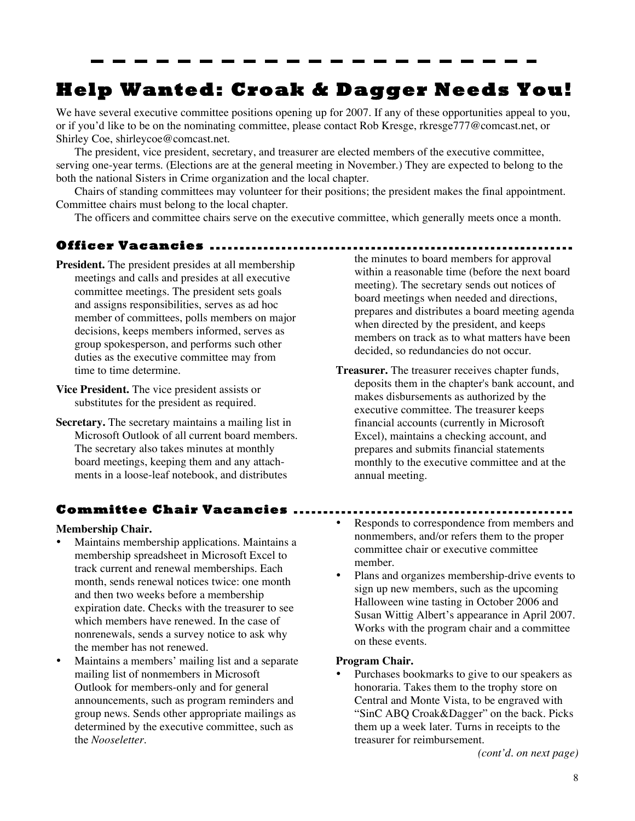### **Help Wanted: Croak & Dagger Needs You!**

We have several executive committee positions opening up for 2007. If any of these opportunities appeal to you, or if you'd like to be on the nominating committee, please contact Rob Kresge, rkresge777@comcast.net, or Shirley Coe, shirleycoe@comcast.net.

The president, vice president, secretary, and treasurer are elected members of the executive committee, serving one-year terms. (Elections are at the general meeting in November.) They are expected to belong to the both the national Sisters in Crime organization and the local chapter.

Chairs of standing committees may volunteer for their positions; the president makes the final appointment. Committee chairs must belong to the local chapter.

The officers and committee chairs serve on the executive committee, which generally meets once a month.

#### **Officer Vacancies .............................................................**

- **President.** The president presides at all membership meetings and calls and presides at all executive committee meetings. The president sets goals and assigns responsibilities, serves as ad hoc member of committees, polls members on major decisions, keeps members informed, serves as group spokesperson, and performs such other duties as the executive committee may from time to time determine.
- **Vice President.** The vice president assists or substitutes for the president as required.
- **Secretary.** The secretary maintains a mailing list in Microsoft Outlook of all current board members. The secretary also takes minutes at monthly board meetings, keeping them and any attachments in a loose-leaf notebook, and distributes

#### **Committee Chair Vacancies ...............................................**

#### **Membership Chair.**

- Maintains membership applications. Maintains a membership spreadsheet in Microsoft Excel to track current and renewal memberships. Each month, sends renewal notices twice: one month and then two weeks before a membership expiration date. Checks with the treasurer to see which members have renewed. In the case of nonrenewals, sends a survey notice to ask why the member has not renewed.
- Maintains a members' mailing list and a separate mailing list of nonmembers in Microsoft Outlook for members-only and for general announcements, such as program reminders and group news. Sends other appropriate mailings as determined by the executive committee, such as the *Nooseletter*.

the minutes to board members for approval within a reasonable time (before the next board meeting). The secretary sends out notices of board meetings when needed and directions, prepares and distributes a board meeting agenda when directed by the president, and keeps members on track as to what matters have been decided, so redundancies do not occur.

**Treasurer.** The treasurer receives chapter funds, deposits them in the chapter's bank account, and makes disbursements as authorized by the executive committee. The treasurer keeps financial accounts (currently in Microsoft Excel), maintains a checking account, and prepares and submits financial statements monthly to the executive committee and at the annual meeting.

- Responds to correspondence from members and nonmembers, and/or refers them to the proper committee chair or executive committee member.
- Plans and organizes membership-drive events to sign up new members, such as the upcoming Halloween wine tasting in October 2006 and Susan Wittig Albert's appearance in April 2007. Works with the program chair and a committee on these events.

#### **Program Chair.**

• Purchases bookmarks to give to our speakers as honoraria. Takes them to the trophy store on Central and Monte Vista, to be engraved with "SinC ABQ Croak&Dagger" on the back. Picks them up a week later. Turns in receipts to the treasurer for reimbursement.

*(cont'd. on next page)*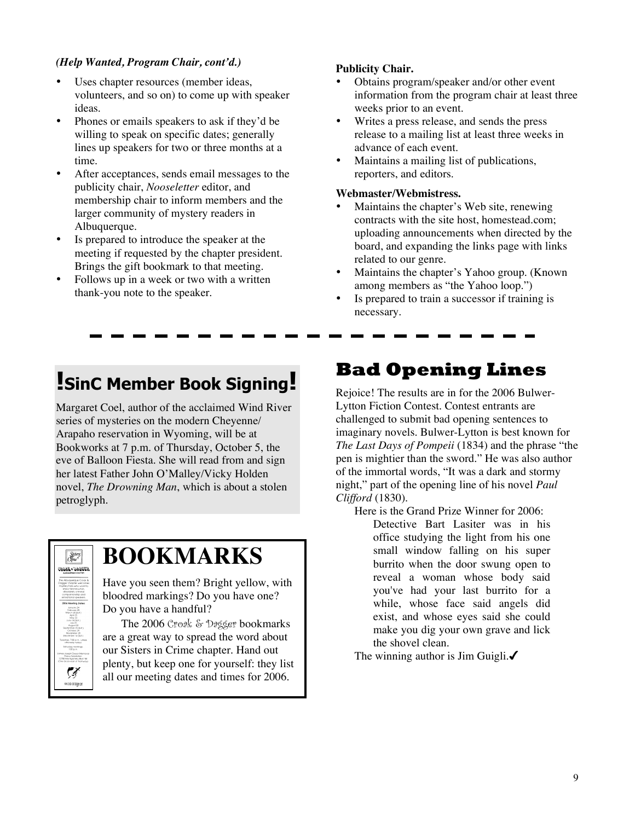#### *(Help Wanted, Program Chair, cont'd.)*

- Uses chapter resources (member ideas, volunteers, and so on) to come up with speaker ideas.
- Phones or emails speakers to ask if they'd be willing to speak on specific dates; generally lines up speakers for two or three months at a time.
- After acceptances, sends email messages to the publicity chair, *Nooseletter* editor, and membership chair to inform members and the larger community of mystery readers in Albuquerque.
- Is prepared to introduce the speaker at the meeting if requested by the chapter president. Brings the gift bookmark to that meeting.
- Follows up in a week or two with a written thank-you note to the speaker.

#### **Publicity Chair.**

- Obtains program/speaker and/or other event information from the program chair at least three weeks prior to an event.
- Writes a press release, and sends the press release to a mailing list at least three weeks in advance of each event.
- Maintains a mailing list of publications, reporters, and editors.

#### **Webmaster/Webmistress.**

- Maintains the chapter's Web site, renewing contracts with the site host, homestead.com; uploading announcements when directed by the board, and expanding the links page with links related to our genre.
- Maintains the chapter's Yahoo group. (Known) among members as "the Yahoo loop.")
- Is prepared to train a successor if training is necessary.

### **!SinC Member Book Signing!**

Margaret Coel, author of the acclaimed Wind River series of mysteries on the modern Cheyenne/ Arapaho reservation in Wyoming, will be at Bookworks at 7 p.m. of Thursday, October 5, the eve of Balloon Fiesta. She will read from and sign her latest Father John O'Malley/Vicky Holden novel, *The Drowning Man*, which is about a stolen petroglyph.



### **BOOKMARKS**

Have you seen them? Bright yellow, with bloodred markings? Do you have one? Do you have a handful?

The 2006 Croak & Dagger bookmarks are a great way to spread the word about our Sisters in Crime chapter. Hand out plenty, but keep one for yourself: they list all our meeting dates and times for 2006.

### **Bad Opening Lines**

Rejoice! The results are in for the 2006 Bulwer-Lytton Fiction Contest. Contest entrants are challenged to submit bad opening sentences to imaginary novels. Bulwer-Lytton is best known for *The Last Days of Pompeii* (1834) and the phrase "the pen is mightier than the sword." He was also author of the immortal words, "It was a dark and stormy night," part of the opening line of his novel *Paul Clifford* (1830).

Here is the Grand Prize Winner for 2006:

Detective Bart Lasiter was in his office studying the light from his one small window falling on his super burrito when the door swung open to reveal a woman whose body said you've had your last burrito for a while, whose face said angels did exist, and whose eyes said she could make you dig your own grave and lick the shovel clean.

The winning author is Jim Guigli. $\checkmark$